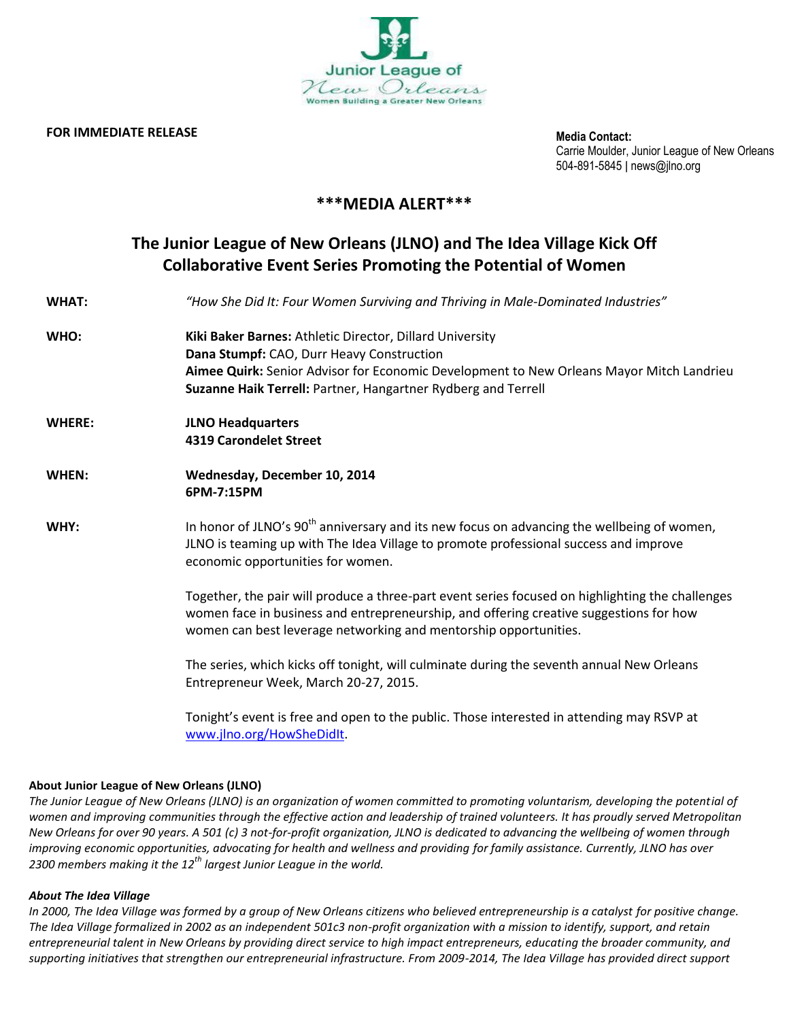

### **FOR IMMEDIATE RELEASE**

**Media Contact:** Carrie Moulder, Junior League of New Orleans 504-891-5845 ǀ news@jlno.org

# **\*\*\*MEDIA ALERT\*\*\***

# **The Junior League of New Orleans (JLNO) and The Idea Village Kick Off Collaborative Event Series Promoting the Potential of Women**

| <b>WHAT:</b>  | "How She Did It: Four Women Surviving and Thriving in Male-Dominated Industries"                                                                                                                                                                                   |
|---------------|--------------------------------------------------------------------------------------------------------------------------------------------------------------------------------------------------------------------------------------------------------------------|
| WHO:          | Kiki Baker Barnes: Athletic Director, Dillard University<br>Dana Stumpf: CAO, Durr Heavy Construction<br>Aimee Quirk: Senior Advisor for Economic Development to New Orleans Mayor Mitch Landrieu<br>Suzanne Haik Terrell: Partner, Hangartner Rydberg and Terrell |
| <b>WHERE:</b> | <b>JLNO Headquarters</b><br><b>4319 Carondelet Street</b>                                                                                                                                                                                                          |
| WHEN:         | Wednesday, December 10, 2014<br>6PM-7:15PM                                                                                                                                                                                                                         |
| WHY:          | In honor of JLNO's 90 <sup>th</sup> anniversary and its new focus on advancing the wellbeing of women,<br>JLNO is teaming up with The Idea Village to promote professional success and improve<br>economic opportunities for women.                                |
|               | Together, the pair will produce a three-part event series focused on highlighting the challenges<br>women face in business and entrepreneurship, and offering creative suggestions for how<br>women can best leverage networking and mentorship opportunities.     |
|               | The series, which kicks off tonight, will culminate during the seventh annual New Orleans<br>Entrepreneur Week, March 20-27, 2015.                                                                                                                                 |
|               | Tonight's event is free and open to the public. Those interested in attending may RSVP at<br>www.jlno.org/HowSheDidlt.                                                                                                                                             |

## **About Junior League of New Orleans (JLNO)**

*The Junior League of New Orleans (JLNO) is an organization of women committed to promoting voluntarism, developing the potential of women and improving communities through the effective action and leadership of trained volunteers. It has proudly served Metropolitan New Orleans for over 90 years. A 501 (c) 3 not-for-profit organization, JLNO is dedicated to advancing the wellbeing of women through improving economic opportunities, advocating for health and wellness and providing for family assistance. Currently, JLNO has over 2300 members making it the 12th largest Junior League in the world.*

#### *About The Idea Village*

*In 2000, The Idea Village was formed by a group of New Orleans citizens who believed entrepreneurship is a catalyst for positive change. The Idea Village formalized in 2002 as an independent 501c3 non-profit organization with a mission to identify, support, and retain entrepreneurial talent in New Orleans by providing direct service to high impact entrepreneurs, educating the broader community, and supporting initiatives that strengthen our entrepreneurial infrastructure. From 2009-2014, The Idea Village has provided direct support*